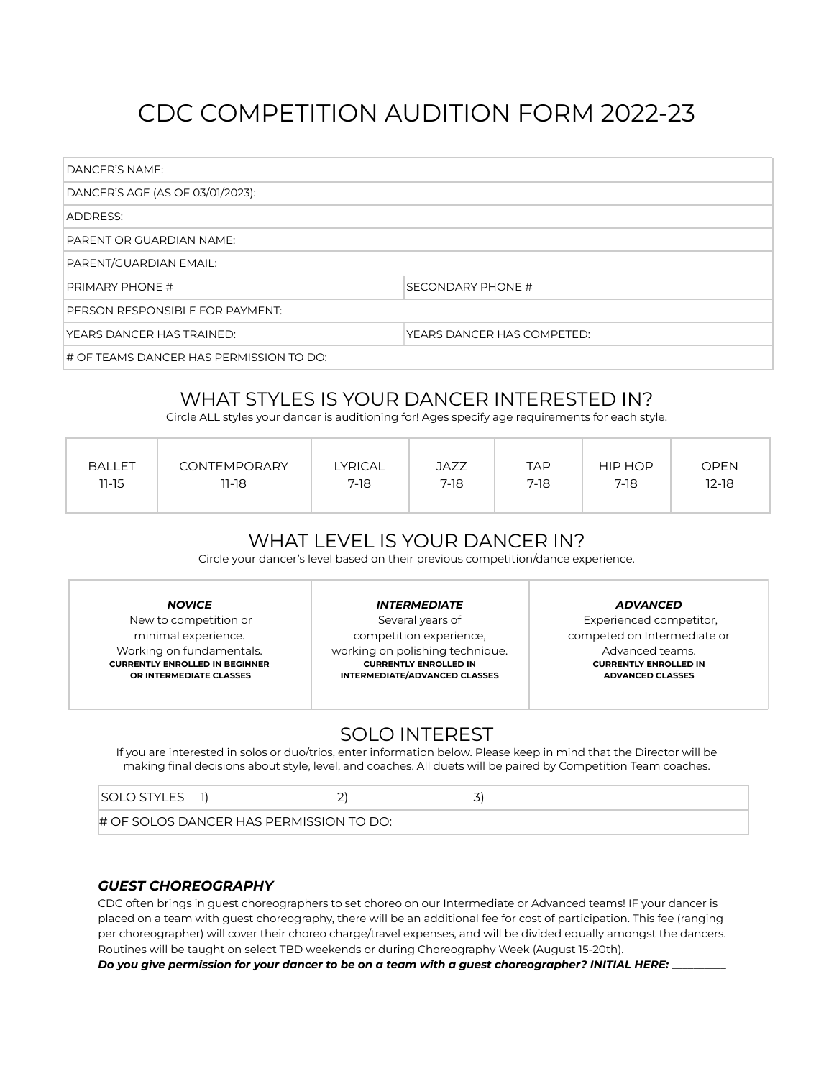# CDC COMPETITION AUDITION FORM 2022-23

| DANCER'S NAME:                          |                            |  |  |
|-----------------------------------------|----------------------------|--|--|
| DANCER'S AGE (AS OF 03/01/2023):        |                            |  |  |
| ADDRESS:                                |                            |  |  |
| PARENT OR GUARDIAN NAME:                |                            |  |  |
| PARENT/GUARDIAN EMAIL:                  |                            |  |  |
| <b>PRIMARY PHONE #</b>                  | SECONDARY PHONE #          |  |  |
| PERSON RESPONSIBLE FOR PAYMENT:         |                            |  |  |
| YEARS DANCER HAS TRAINED:               | YEARS DANCER HAS COMPETED: |  |  |
| # OF TEAMS DANCER HAS PERMISSION TO DO: |                            |  |  |

## WHAT STYLES IS YOUR DANCER INTERESTED IN?

Circle ALL styles your dancer is auditioning for! Ages specify age requirements for each style.

| <b>BALLET</b><br><b>CONTEMPORARY</b><br>$11 - 15$<br>$11 - 18$ | LYRICAL<br>JAZZ<br>$7-18$<br>$7-18$ | <b>TAP</b><br>$7-18$ | HIP HOP<br>$7-18$ | <b>OPEN</b><br>$12-18$ |
|----------------------------------------------------------------|-------------------------------------|----------------------|-------------------|------------------------|
|----------------------------------------------------------------|-------------------------------------|----------------------|-------------------|------------------------|

## WHAT LEVEL IS YOUR DANCER IN?

Circle your dancer's level based on their previous competition/dance experience.

New to competition or minimal experience. Working on fundamentals. **CURRENTLY ENROLLED IN BEGINNER OR INTERMEDIATE CLASSES**

*INTERMEDIATE*

Several years of competition experience, working on polishing technique. **CURRENTLY ENROLLED IN INTERMEDIATE/ADVANCED CLASSES**

*ADVANCED*

Experienced competitor, competed on Intermediate or Advanced teams. **CURRENTLY ENROLLED IN ADVANCED CLASSES**

### SOLO INTEREST

If you are interested in solos or duo/trios, enter information below. Please keep in mind that the Director will be making final decisions about style, level, and coaches. All duets will be paired by Competition Team coaches.

| <b>SOLO STYLES</b>                         |  |  |
|--------------------------------------------|--|--|
| $\#$ OF SOLOS DANCER HAS PERMISSION TO DO: |  |  |

#### *GUEST CHOREOGRAPHY*

CDC often brings in guest choreographers to set choreo on our Intermediate or Advanced teams! IF your dancer is placed on a team with guest choreography, there will be an additional fee for cost of participation. This fee (ranging per choreographer) will cover their choreo charge/travel expenses, and will be divided equally amongst the dancers. Routines will be taught on select TBD weekends or during Choreography Week (August 15-20th).

Do you give permission for your dancer to be on a team with a guest choreographer? INITIAL HERE: